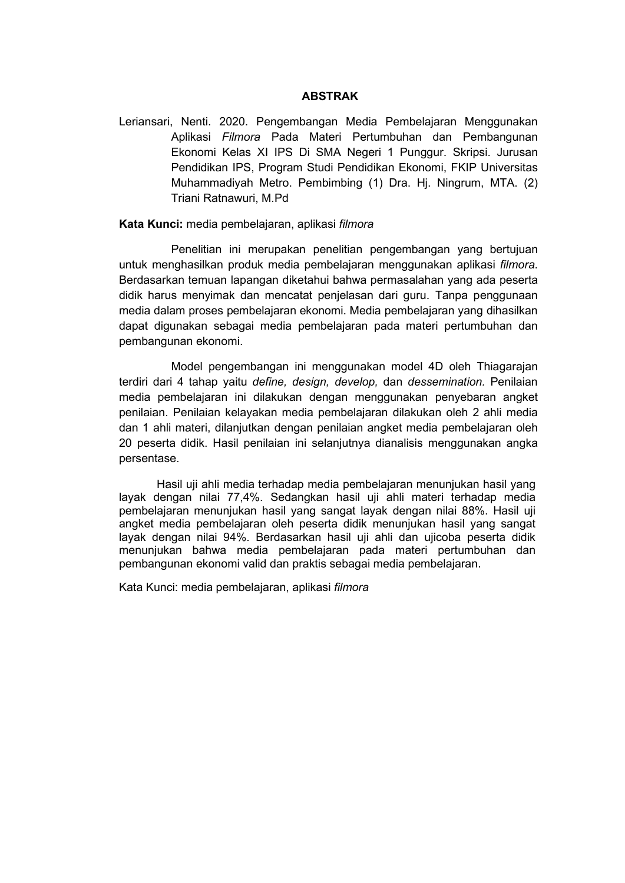## **ABSTRAK**

Leriansari, Nenti. 2020. Pengembangan Media Pembelajaran Menggunakan Aplikasi *Filmora* Pada Materi Pertumbuhan dan Pembangunan Ekonomi Kelas XI IPS Di SMA Negeri 1 Punggur. Skripsi. Jurusan Pendidikan IPS, Program Studi Pendidikan Ekonomi, FKIP Universitas Muhammadiyah Metro. Pembimbing (1) Dra. Hj. Ningrum, MTA. (2) Triani Ratnawuri, M.Pd

## **Kata Kunci:** media pembelajaran, aplikasi *filmora*

Penelitian ini merupakan penelitian pengembangan yang bertujuan untuk menghasilkan produk media pembelajaran menggunakan aplikasi *filmora*. Berdasarkan temuan lapangan diketahui bahwa permasalahan yang ada peserta didik harus menyimak dan mencatat penjelasan dari guru. Tanpa penggunaan media dalam proses pembelajaran ekonomi. Media pembelajaran yang dihasilkan dapat digunakan sebagai media pembelajaran pada materi pertumbuhan dan pembangunan ekonomi.

Model pengembangan ini menggunakan model 4D oleh Thiagarajan terdiri dari 4 tahap yaitu *define, design, develop,* dan *dessemination.* Penilaian media pembelajaran ini dilakukan dengan menggunakan penyebaran angket penilaian. Penilaian kelayakan media pembelajaran dilakukan oleh 2 ahli media dan 1 ahli materi, dilanjutkan dengan penilaian angket media pembelajaran oleh 20 peserta didik. Hasil penilaian ini selanjutnya dianalisis menggunakan angka persentase.

Hasil uji ahli media terhadap media pembelajaran menunjukan hasil yang layak dengan nilai 77,4%. Sedangkan hasil uji ahli materi terhadap media pembelajaran menunjukan hasil yang sangat layak dengan nilai 88%. Hasil uji angket media pembelajaran oleh peserta didik menunjukan hasil yang sangat layak dengan nilai 94%. Berdasarkan hasil uji ahli dan ujicoba peserta didik menunjukan bahwa media pembelajaran pada materi pertumbuhan dan pembangunan ekonomi valid dan praktis sebagai media pembelajaran.

Kata Kunci: media pembelajaran, aplikasi *filmora*